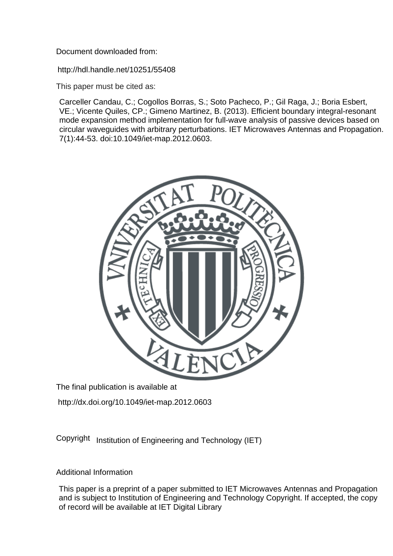Document downloaded from:

http://hdl.handle.net/10251/55408

This paper must be cited as:

Carceller Candau, C.; Cogollos Borras, S.; Soto Pacheco, P.; Gil Raga, J.; Boria Esbert, VE.; Vicente Quiles, CP.; Gimeno Martinez, B. (2013). Efficient boundary integral-resonant mode expansion method implementation for full-wave analysis of passive devices based on circular waveguides with arbitrary perturbations. IET Microwaves Antennas and Propagation. 7(1):44-53. doi:10.1049/iet-map.2012.0603.



The final publication is available at

http://dx.doi.org/10.1049/iet-map.2012.0603

Copyright Institution of Engineering and Technology (IET)

# Additional Information

This paper is a preprint of a paper submitted to IET Microwaves Antennas and Propagation and is subject to Institution of Engineering and Technology Copyright. If accepted, the copy of record will be available at IET Digital Library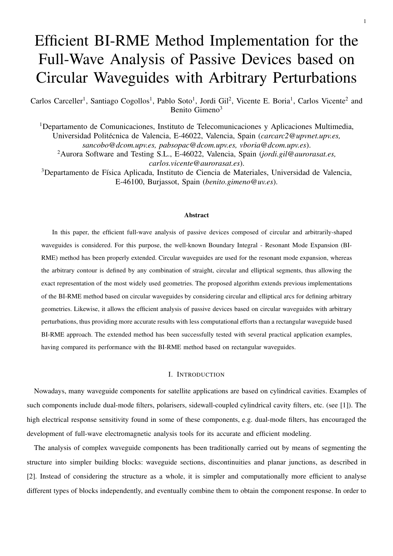# Efficient BI-RME Method Implementation for the Full-Wave Analysis of Passive Devices based on Circular Waveguides with Arbitrary Perturbations

Carlos Carceller<sup>1</sup>, Santiago Cogollos<sup>1</sup>, Pablo Soto<sup>1</sup>, Jordi Gil<sup>2</sup>, Vicente E. Boria<sup>1</sup>, Carlos Vicente<sup>2</sup> and Benito Gimeno<sup>3</sup>

<sup>1</sup>Departamento de Comunicaciones, Instituto de Telecomunicaciones y Aplicaciones Multimedia, Universidad Politécnica de Valencia, E-46022, Valencia, Spain (*carcarc2@upvnet.upv.es*, *sancobo@dcom.upv.es, pabsopac@dcom.upv.es, vboria@dcom.upv.es*). <sup>2</sup>Aurora Software and Testing S.L., E-46022, Valencia, Spain (*jordi.gil@aurorasat.es, carlos.vicente@aurorasat.es*).

<sup>3</sup>Departamento de Física Aplicada, Instituto de Ciencia de Materiales, Universidad de Valencia, E-46100, Burjassot, Spain (*benito.gimeno@uv.es*).

#### **Abstract**

In this paper, the efficient full-wave analysis of passive devices composed of circular and arbitrarily-shaped waveguides is considered. For this purpose, the well-known Boundary Integral - Resonant Mode Expansion (BI-RME) method has been properly extended. Circular waveguides are used for the resonant mode expansion, whereas the arbitrary contour is defined by any combination of straight, circular and elliptical segments, thus allowing the exact representation of the most widely used geometries. The proposed algorithm extends previous implementations of the BI-RME method based on circular waveguides by considering circular and elliptical arcs for defining arbitrary geometries. Likewise, it allows the efficient analysis of passive devices based on circular waveguides with arbitrary perturbations, thus providing more accurate results with less computational efforts than a rectangular waveguide based BI-RME approach. The extended method has been successfully tested with several practical application examples, having compared its performance with the BI-RME method based on rectangular waveguides.

#### I. INTRODUCTION

Nowadays, many waveguide components for satellite applications are based on cylindrical cavities. Examples of such components include dual-mode filters, polarisers, sidewall-coupled cylindrical cavity filters, etc. (see [1]). The high electrical response sensitivity found in some of these components, e.g. dual-mode filters, has encouraged the development of full-wave electromagnetic analysis tools for its accurate and efficient modeling.

The analysis of complex waveguide components has been traditionally carried out by means of segmenting the structure into simpler building blocks: waveguide sections, discontinuities and planar junctions, as described in [2]. Instead of considering the structure as a whole, it is simpler and computationally more efficient to analyse different types of blocks independently, and eventually combine them to obtain the component response. In order to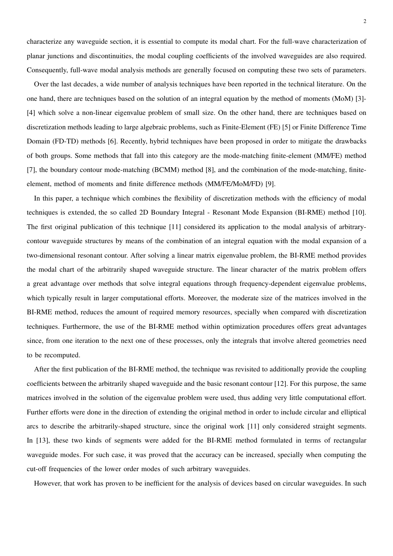characterize any waveguide section, it is essential to compute its modal chart. For the full-wave characterization of planar junctions and discontinuities, the modal coupling coefficients of the involved waveguides are also required. Consequently, full-wave modal analysis methods are generally focused on computing these two sets of parameters.

Over the last decades, a wide number of analysis techniques have been reported in the technical literature. On the one hand, there are techniques based on the solution of an integral equation by the method of moments (MoM) [3]- [4] which solve a non-linear eigenvalue problem of small size. On the other hand, there are techniques based on discretization methods leading to large algebraic problems, such as Finite-Element (FE) [5] or Finite Difference Time Domain (FD-TD) methods [6]. Recently, hybrid techniques have been proposed in order to mitigate the drawbacks of both groups. Some methods that fall into this category are the mode-matching finite-element (MM/FE) method [7], the boundary contour mode-matching (BCMM) method [8], and the combination of the mode-matching, finiteelement, method of moments and finite difference methods (MM/FE/MoM/FD) [9].

In this paper, a technique which combines the flexibility of discretization methods with the efficiency of modal techniques is extended, the so called 2D Boundary Integral - Resonant Mode Expansion (BI-RME) method [10]. The first original publication of this technique [11] considered its application to the modal analysis of arbitrarycontour waveguide structures by means of the combination of an integral equation with the modal expansion of a two-dimensional resonant contour. After solving a linear matrix eigenvalue problem, the BI-RME method provides the modal chart of the arbitrarily shaped waveguide structure. The linear character of the matrix problem offers a great advantage over methods that solve integral equations through frequency-dependent eigenvalue problems, which typically result in larger computational efforts. Moreover, the moderate size of the matrices involved in the BI-RME method, reduces the amount of required memory resources, specially when compared with discretization techniques. Furthermore, the use of the BI-RME method within optimization procedures offers great advantages since, from one iteration to the next one of these processes, only the integrals that involve altered geometries need to be recomputed.

After the first publication of the BI-RME method, the technique was revisited to additionally provide the coupling coefficients between the arbitrarily shaped waveguide and the basic resonant contour [12]. For this purpose, the same matrices involved in the solution of the eigenvalue problem were used, thus adding very little computational effort. Further efforts were done in the direction of extending the original method in order to include circular and elliptical arcs to describe the arbitrarily-shaped structure, since the original work [11] only considered straight segments. In [13], these two kinds of segments were added for the BI-RME method formulated in terms of rectangular waveguide modes. For such case, it was proved that the accuracy can be increased, specially when computing the cut-off frequencies of the lower order modes of such arbitrary waveguides.

However, that work has proven to be inefficient for the analysis of devices based on circular waveguides. In such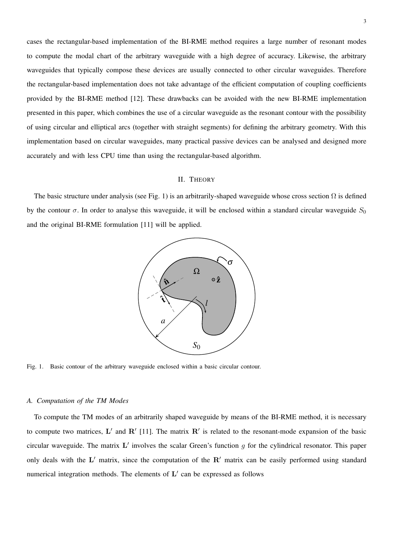cases the rectangular-based implementation of the BI-RME method requires a large number of resonant modes to compute the modal chart of the arbitrary waveguide with a high degree of accuracy. Likewise, the arbitrary waveguides that typically compose these devices are usually connected to other circular waveguides. Therefore the rectangular-based implementation does not take advantage of the efficient computation of coupling coefficients provided by the BI-RME method [12]. These drawbacks can be avoided with the new BI-RME implementation presented in this paper, which combines the use of a circular waveguide as the resonant contour with the possibility of using circular and elliptical arcs (together with straight segments) for defining the arbitrary geometry. With this implementation based on circular waveguides, many practical passive devices can be analysed and designed more accurately and with less CPU time than using the rectangular-based algorithm.

## II. THEORY

The basic structure under analysis (see Fig. 1) is an arbitrarily-shaped waveguide whose cross section  $\Omega$  is defined by the contour  $\sigma$ . In order to analyse this waveguide, it will be enclosed within a standard circular waveguide  $S_0$ and the original BI-RME formulation [11] will be applied.



Fig. 1. Basic contour of the arbitrary waveguide enclosed within a basic circular contour.

#### *A. Computation of the TM Modes*

To compute the TM modes of an arbitrarily shaped waveguide by means of the BI-RME method, it is necessary to compute two matrices,  $L'$  and  $R'$  [11]. The matrix  $R'$  is related to the resonant-mode expansion of the basic circular waveguide. The matrix  $L'$  involves the scalar Green's function g for the cylindrical resonator. This paper only deals with the  $L'$  matrix, since the computation of the  $R'$  matrix can be easily performed using standard numerical integration methods. The elements of  $L'$  can be expressed as follows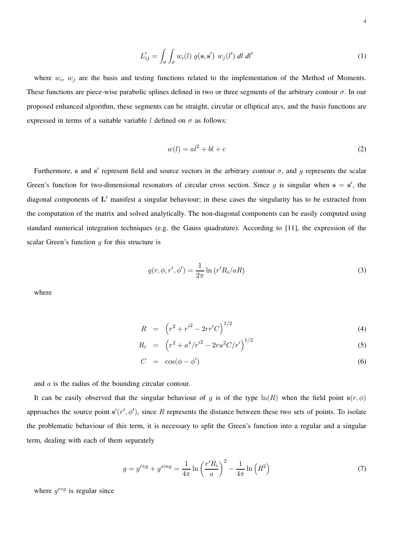$$
L'_{ij} = \int_{\sigma} \int_{\sigma} w_i(l) g(\mathbf{s}, \mathbf{s}') w_j(l') dl dl'
$$
 (1)

where  $w_i$ ,  $w_j$  are the basis and testing functions related to the implementation of the Method of Moments. These functions are piece-wise parabolic splines defined in two or three segments of the arbitrary contour  $\sigma$ . In our proposed enhanced algorithm, these segments can be straight, circular or elliptical arcs, and the basis functions are expressed in terms of a suitable variable l defined on  $\sigma$  as follows:

$$
w(l) = al^2 + bl + c \tag{2}
$$

Furthermore, s and s' represent field and source vectors in the arbitrary contour  $\sigma$ , and g represents the scalar Green's function for two-dimensional resonators of circular cross section. Since g is singular when  $s = s'$ , the diagonal components of  $L'$  manifest a singular behaviour; in these cases the singularity has to be extracted from the computation of the matrix and solved analytically. The non-diagonal components can be easily computed using standard numerical integration techniques (e.g. the Gauss quadrature). According to [11], the expression of the scalar Green's function  $q$  for this structure is

$$
g(r, \phi, r', \phi') = \frac{1}{2\pi} \ln \left( r' R_i / aR \right) \tag{3}
$$

where

$$
R = (r^2 + r'^2 - 2rr'C)^{1/2}
$$
 (4)

$$
R_i = (r^2 + a^4/r'^2 - 2ra^2C/r')^{1/2}
$$
\n(5)

$$
C = \cos(\phi - \phi') \tag{6}
$$

and a is the radius of the bounding circular contour.

It can be easily observed that the singular behaviour of g is of the type  $ln(R)$  when the field point  $s(r, \phi)$ approaches the source point  $s'(r', \phi')$ , since R represents the distance between these two sets of points. To isolate the problematic behaviour of this term, it is necessary to split the Green's function into a regular and a singular term, dealing with each of them separately

$$
g = g^{reg} + g^{sing} = \frac{1}{4\pi} \ln\left(\frac{r'R_i}{a}\right)^2 - \frac{1}{4\pi} \ln\left(R^2\right)
$$
\n<sup>(7)</sup>

where  $g^{reg}$  is regular since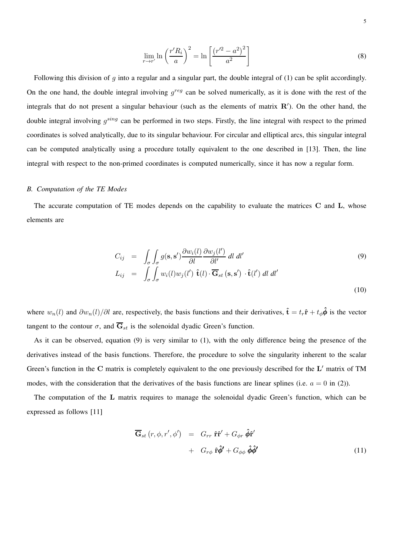$$
\lim_{r \to r'} \ln \left( \frac{r'R_i}{a} \right)^2 = \ln \left[ \frac{\left( r'^2 - a^2 \right)^2}{a^2} \right] \tag{8}
$$

Following this division of  $q$  into a regular and a singular part, the double integral of (1) can be split accordingly. On the one hand, the double integral involving  $g^{reg}$  can be solved numerically, as it is done with the rest of the integrals that do not present a singular behaviour (such as the elements of matrix  $\mathbb{R}'$ ). On the other hand, the double integral involving  $g^{sing}$  can be performed in two steps. Firstly, the line integral with respect to the primed coordinates is solved analytically, due to its singular behaviour. For circular and elliptical arcs, this singular integral can be computed analytically using a procedure totally equivalent to the one described in [13]. Then, the line integral with respect to the non-primed coordinates is computed numerically, since it has now a regular form.

#### *B. Computation of the TE Modes*

The accurate computation of TE modes depends on the capability to evaluate the matrices C and L, whose elements are

$$
C_{ij} = \int_{\sigma} \int_{\sigma} g(\mathbf{s}, \mathbf{s}') \frac{\partial w_i(l)}{\partial l} \frac{\partial w_j(l')}{\partial l'} dl dl'
$$
\n
$$
L_{ij} = \int_{\sigma} \int_{\sigma} w_i(l) w_j(l') \hat{\mathbf{t}}(l) \cdot \overline{\mathbf{G}}_{st}(\mathbf{s}, \mathbf{s}') \cdot \hat{\mathbf{t}}(l') dl dl'
$$
\n(10)

where  $w_n(l)$  and  $\partial w_n(l)/\partial l$  are, respectively, the basis functions and their derivatives,  $\hat{\mathbf{t}} = t_r \hat{\mathbf{r}} + t_\phi \hat{\phi}$  is the vector tangent to the contour  $\sigma$ , and  $\overline{G}_{st}$  is the solenoidal dyadic Green's function.

As it can be observed, equation (9) is very similar to (1), with the only difference being the presence of the derivatives instead of the basis functions. Therefore, the procedure to solve the singularity inherent to the scalar Green's function in the  $C$  matrix is completely equivalent to the one previously described for the  $L'$  matrix of TM modes, with the consideration that the derivatives of the basis functions are linear splines (i.e.  $a = 0$  in (2)).

The computation of the L matrix requires to manage the solenoidal dyadic Green's function, which can be expressed as follows [11]

$$
\overline{\mathbf{G}}_{st} (r, \phi, r', \phi') = G_{rr} \hat{\mathbf{r}} \hat{\mathbf{r}}' + G_{\phi r} \hat{\phi} \hat{\mathbf{r}}'
$$
  
+ 
$$
G_{r\phi} \hat{\mathbf{r}} \hat{\phi}' + G_{\phi\phi} \hat{\phi} \hat{\phi}'
$$
(11)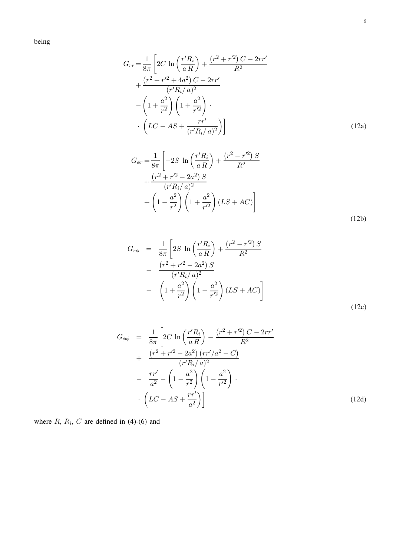being

$$
G_{rr} = \frac{1}{8\pi} \left[ 2C \ln \left( \frac{r'R_i}{aR} \right) + \frac{(r^2 + r'^2) C - 2rr'}{R^2} + \frac{(r^2 + r'^2 + 4a^2) C - 2rr'}{(r'R_i/a)^2} - \left( 1 + \frac{a^2}{r^2} \right) \left( 1 + \frac{a^2}{r'^2} \right) \cdot \left( LC - AS + \frac{rr'}{(r'R_i/a)^2} \right) \right]
$$
(12a)

$$
G_{\phi r} = \frac{1}{8\pi} \left[ -2S \ln \left( \frac{r'R_i}{aR} \right) + \frac{(r^2 - r'^2) S}{R^2} + \frac{(r^2 + r'^2 - 2a^2) S}{(r'R_i/a)^2} + \left( 1 - \frac{a^2}{r^2} \right) \left( 1 + \frac{a^2}{r'^2} \right) (LS + AC) \right]
$$
\n(12b)

$$
G_{r\phi} = \frac{1}{8\pi} \left[ 2S \ln \left( \frac{r'R_i}{aR} \right) + \frac{(r^2 - r'^2) S}{R^2} - \frac{(r^2 + r'^2 - 2a^2) S}{(r'R_i/a)^2} - \left( 1 + \frac{a^2}{r^2} \right) \left( 1 - \frac{a^2}{r'^2} \right) (LS + AC) \right]
$$
\n(12c)

$$
G_{\phi\phi} = \frac{1}{8\pi} \left[ 2C \ln \left( \frac{r'R_i}{aR} \right) - \frac{(r^2 + r'^2) C - 2rr'}{R^2} + \frac{(r^2 + r'^2 - 2a^2) (rr'/a^2 - C)}{(r'R_i/a)^2} - \frac{rr'}{a^2} - \left( 1 - \frac{a^2}{r^2} \right) \left( 1 - \frac{a^2}{r'^2} \right) \cdot \left( LC - AS + \frac{rr'}{a^2} \right) \right]
$$
(12d)

where  $R$ ,  $R_i$ ,  $C$  are defined in (4)-(6) and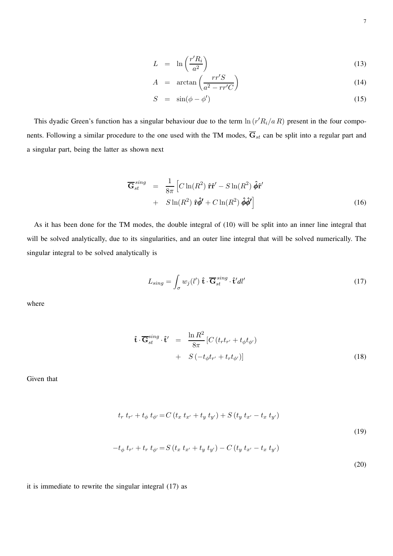$$
L = \ln\left(\frac{r'R_i}{a^2}\right) \tag{13}
$$

$$
A = \arctan\left(\frac{rr'S}{a^2 - rr'C}\right) \tag{14}
$$

$$
S = \sin(\phi - \phi') \tag{15}
$$

This dyadic Green's function has a singular behaviour due to the term  $\ln (r'R_i/a R)$  present in the four components. Following a similar procedure to the one used with the TM modes,  $\overline{G}_{st}$  can be split into a regular part and a singular part, being the latter as shown next

$$
\overline{\mathbf{G}}_{st}^{sing} = \frac{1}{8\pi} \left[ C \ln(R^2) \hat{\mathbf{r}} \hat{\mathbf{r}}' - S \ln(R^2) \hat{\boldsymbol{\phi}} \hat{\mathbf{r}}' + S \ln(R^2) \hat{\boldsymbol{\phi}} \hat{\boldsymbol{\phi}}' \right]
$$
\n
$$
+ S \ln(R^2) \hat{\mathbf{r}} \hat{\boldsymbol{\phi}}' + C \ln(R^2) \hat{\boldsymbol{\phi}} \hat{\boldsymbol{\phi}}' \right]
$$
\n(16)

As it has been done for the TM modes, the double integral of (10) will be split into an inner line integral that will be solved analytically, due to its singularities, and an outer line integral that will be solved numerically. The singular integral to be solved analytically is

$$
L_{sing} = \int_{\sigma} w_j(l') \, \hat{\mathbf{t}} \cdot \overline{\mathbf{G}}_{st}^{sing} \cdot \hat{\mathbf{t}}' dl'
$$
 (17)

where

$$
\hat{\mathbf{t}} \cdot \overline{\mathbf{G}}_{st}^{sing} \cdot \hat{\mathbf{t}}' = \frac{\ln R^2}{8\pi} \left[ C \left( t_r t_{r'} + t_\phi t_{\phi'} \right) + S \left( -t_\phi t_{r'} + t_r t_{\phi'} \right) \right]
$$
\n(18)

Given that

$$
t_r t_{r'} + t_{\phi} t_{\phi'} = C (t_x t_{x'} + t_y t_{y'}) + S (t_y t_{x'} - t_x t_{y'})
$$
  

$$
-t_{\phi} t_{r'} + t_r t_{\phi'} = S (t_x t_{x'} + t_y t_{y'}) - C (t_y t_{x'} - t_x t_{y'})
$$
 (19)

it is immediate to rewrite the singular integral (17) as

(20)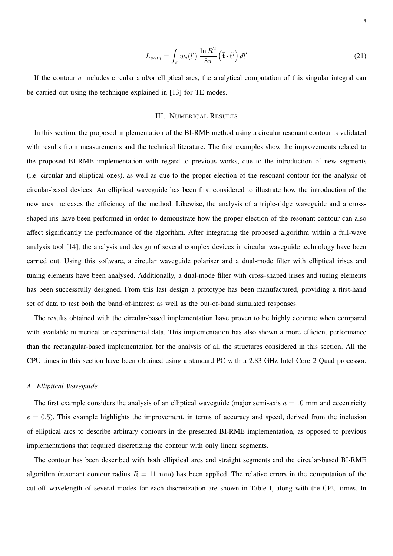$$
L_{sing} = \int_{\sigma} w_j(l') \, \frac{\ln R^2}{8\pi} \left(\hat{\mathbf{t}} \cdot \hat{\mathbf{t}}'\right) dl' \tag{21}
$$

If the contour  $\sigma$  includes circular and/or elliptical arcs, the analytical computation of this singular integral can be carried out using the technique explained in [13] for TE modes.

#### III. NUMERICAL RESULTS

In this section, the proposed implementation of the BI-RME method using a circular resonant contour is validated with results from measurements and the technical literature. The first examples show the improvements related to the proposed BI-RME implementation with regard to previous works, due to the introduction of new segments (i.e. circular and elliptical ones), as well as due to the proper election of the resonant contour for the analysis of circular-based devices. An elliptical waveguide has been first considered to illustrate how the introduction of the new arcs increases the efficiency of the method. Likewise, the analysis of a triple-ridge waveguide and a crossshaped iris have been performed in order to demonstrate how the proper election of the resonant contour can also affect significantly the performance of the algorithm. After integrating the proposed algorithm within a full-wave analysis tool [14], the analysis and design of several complex devices in circular waveguide technology have been carried out. Using this software, a circular waveguide polariser and a dual-mode filter with elliptical irises and tuning elements have been analysed. Additionally, a dual-mode filter with cross-shaped irises and tuning elements has been successfully designed. From this last design a prototype has been manufactured, providing a first-hand set of data to test both the band-of-interest as well as the out-of-band simulated responses.

The results obtained with the circular-based implementation have proven to be highly accurate when compared with available numerical or experimental data. This implementation has also shown a more efficient performance than the rectangular-based implementation for the analysis of all the structures considered in this section. All the CPU times in this section have been obtained using a standard PC with a 2.83 GHz Intel Core 2 Quad processor.

#### *A. Elliptical Waveguide*

The first example considers the analysis of an elliptical waveguide (major semi-axis  $a = 10$  mm and eccentricity  $e = 0.5$ ). This example highlights the improvement, in terms of accuracy and speed, derived from the inclusion of elliptical arcs to describe arbitrary contours in the presented BI-RME implementation, as opposed to previous implementations that required discretizing the contour with only linear segments.

The contour has been described with both elliptical arcs and straight segments and the circular-based BI-RME algorithm (resonant contour radius  $R = 11$  mm) has been applied. The relative errors in the computation of the cut-off wavelength of several modes for each discretization are shown in Table I, along with the CPU times. In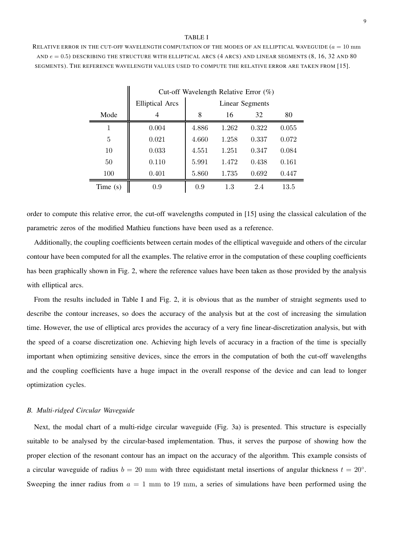#### TABLE I

RELATIVE ERROR IN THE CUT-OFF WAVELENGTH COMPUTATION OF THE MODES OF AN ELLIPTICAL WAVEGUIDE  $(a = 10 \text{ mm})$ AND  $e = 0.5$ ) DESCRIBING THE STRUCTURE WITH ELLIPTICAL ARCS (4 ARCS) AND LINEAR SEGMENTS (8, 16, 32 AND 80 SEGMENTS). THE REFERENCE WAVELENGTH VALUES USED TO COMPUTE THE RELATIVE ERROR ARE TAKEN FROM [15].

 $\dot{\mathbf{u}}$ 

|            |                        | Cut-off Wavelength Relative Error $(\%)$ |       |       |       |  |  |  |  |
|------------|------------------------|------------------------------------------|-------|-------|-------|--|--|--|--|
|            | <b>Elliptical Arcs</b> | <b>Linear Segments</b>                   |       |       |       |  |  |  |  |
| Mode       | 4                      | 8                                        | 16    | 32    | 80    |  |  |  |  |
| 1          | 0.004                  | 4.886                                    | 1.262 | 0.322 | 0.055 |  |  |  |  |
| 5          | 0.021                  | 4.660                                    | 1.258 | 0.337 | 0.072 |  |  |  |  |
| 10         | 0.033                  | 4.551                                    | 1.251 | 0.347 | 0.084 |  |  |  |  |
| 50         | 0.110                  | 5.991                                    | 1.472 | 0.438 | 0.161 |  |  |  |  |
| 100        | 0.401                  | 5.860                                    | 1.735 | 0.692 | 0.447 |  |  |  |  |
| Time $(s)$ | 0.9                    | 0.9                                      | 1.3   | 2.4   | 13.5  |  |  |  |  |

order to compute this relative error, the cut-off wavelengths computed in [15] using the classical calculation of the parametric zeros of the modified Mathieu functions have been used as a reference.

Additionally, the coupling coefficients between certain modes of the elliptical waveguide and others of the circular contour have been computed for all the examples. The relative error in the computation of these coupling coefficients has been graphically shown in Fig. 2, where the reference values have been taken as those provided by the analysis with elliptical arcs.

From the results included in Table I and Fig. 2, it is obvious that as the number of straight segments used to describe the contour increases, so does the accuracy of the analysis but at the cost of increasing the simulation time. However, the use of elliptical arcs provides the accuracy of a very fine linear-discretization analysis, but with the speed of a coarse discretization one. Achieving high levels of accuracy in a fraction of the time is specially important when optimizing sensitive devices, since the errors in the computation of both the cut-off wavelengths and the coupling coefficients have a huge impact in the overall response of the device and can lead to longer optimization cycles.

#### *B. Multi-ridged Circular Waveguide*

Next, the modal chart of a multi-ridge circular waveguide (Fig. 3a) is presented. This structure is especially suitable to be analysed by the circular-based implementation. Thus, it serves the purpose of showing how the proper election of the resonant contour has an impact on the accuracy of the algorithm. This example consists of a circular waveguide of radius  $b = 20$  mm with three equidistant metal insertions of angular thickness  $t = 20°$ . Sweeping the inner radius from  $a = 1$  mm to 19 mm, a series of simulations have been performed using the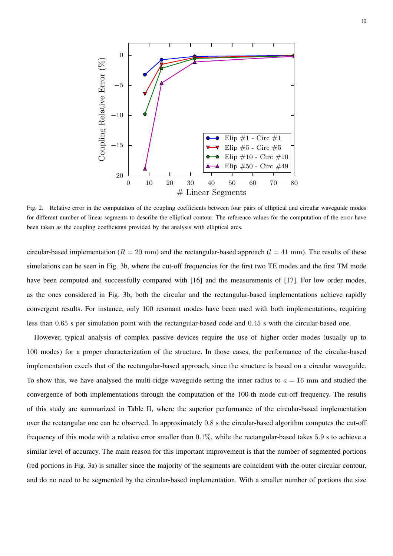

Fig. 2. Relative error in the computation of the coupling coefficients between four pairs of elliptical and circular waveguide modes for different number of linear segments to describe the elliptical contour. The reference values for the computation of the error have been taken as the coupling coefficients provided by the analysis with elliptical arcs.

circular-based implementation ( $R = 20$  mm) and the rectangular-based approach ( $l = 41$  mm). The results of these simulations can be seen in Fig. 3b, where the cut-off frequencies for the first two TE modes and the first TM mode have been computed and successfully compared with [16] and the measurements of [17]. For low order modes, as the ones considered in Fig. 3b, both the circular and the rectangular-based implementations achieve rapidly convergent results. For instance, only 100 resonant modes have been used with both implementations, requiring less than 0.65 s per simulation point with the rectangular-based code and 0.45 s with the circular-based one.

However, typical analysis of complex passive devices require the use of higher order modes (usually up to 100 modes) for a proper characterization of the structure. In those cases, the performance of the circular-based implementation excels that of the rectangular-based approach, since the structure is based on a circular waveguide. To show this, we have analysed the multi-ridge waveguide setting the inner radius to  $a = 16$  mm and studied the convergence of both implementations through the computation of the 100-th mode cut-off frequency. The results of this study are summarized in Table II, where the superior performance of the circular-based implementation over the rectangular one can be observed. In approximately 0.8 s the circular-based algorithm computes the cut-off frequency of this mode with a relative error smaller than 0.1%, while the rectangular-based takes 5.9 s to achieve a similar level of accuracy. The main reason for this important improvement is that the number of segmented portions (red portions in Fig. 3a) is smaller since the majority of the segments are coincident with the outer circular contour, and do no need to be segmented by the circular-based implementation. With a smaller number of portions the size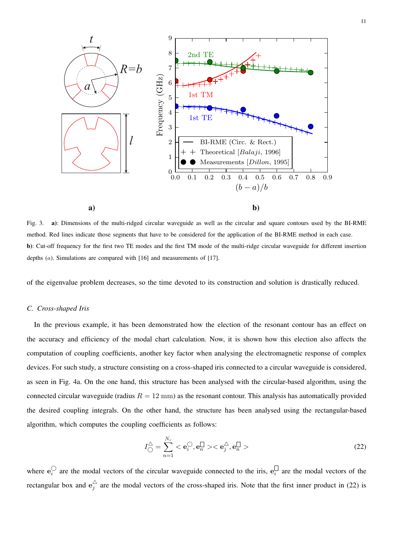

Fig. 3. **a)**: Dimensions of the multi-ridged circular waveguide as well as the circular and square contours used by the BI-RME method. Red lines indicate those segments that have to be considered for the application of the BI-RME method in each case. **b)**: Cut-off frequency for the first two TE modes and the first TM mode of the multi-ridge circular waveguide for different insertion depths  $(a)$ . Simulations are compared with [16] and measurements of [17].

of the eigenvalue problem decreases, so the time devoted to its construction and solution is drastically reduced.

### *C. Cross-shaped Iris*

In the previous example, it has been demonstrated how the election of the resonant contour has an effect on the accuracy and efficiency of the modal chart calculation. Now, it is shown how this election also affects the computation of coupling coefficients, another key factor when analysing the electromagnetic response of complex devices. For such study, a structure consisting on a cross-shaped iris connected to a circular waveguide is considered, as seen in Fig. 4a. On the one hand, this structure has been analysed with the circular-based algorithm, using the connected circular waveguide (radius  $R = 12$  mm) as the resonant contour. This analysis has automatically provided the desired coupling integrals. On the other hand, the structure has been analysed using the rectangular-based algorithm, which computes the coupling coefficients as follows:

$$
I_{\bigcirc}^{\triangle} = \sum_{n=1}^{N_r} < \mathbf{e}_i^{\bigcirc}, \mathbf{e}_n^{\square} > < \mathbf{e}_j^{\triangle}, \mathbf{e}_n^{\square} > \tag{22}
$$

where  $e_i^{\bigcirc}$  $\sum_{i=1}^{n}$  are the modal vectors of the circular waveguide connected to the iris,  $e_i^{\square}$  $\bigcup_{i}$  are the modal vectors of the rectangular box and  $e_i^{\triangle}$  $\frac{1}{j}$  are the modal vectors of the cross-shaped iris. Note that the first inner product in (22) is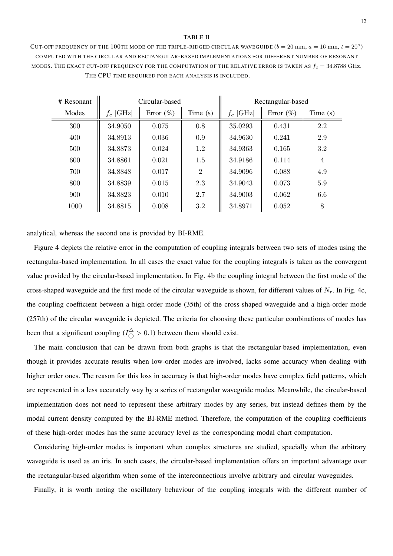#### TABLE II

CUT-OFF FREQUENCY OF THE 100TH MODE OF THE TRIPLE-RIDGED CIRCULAR WAVEGUIDE  $(b = 20 \text{ mm}, a = 16 \text{ mm}, t = 20^{\circ})$ COMPUTED WITH THE CIRCULAR AND RECTANGULAR-BASED IMPLEMENTATIONS FOR DIFFERENT NUMBER OF RESONANT MODES. THE EXACT CUT-OFF FREQUENCY FOR THE COMPUTATION OF THE RELATIVE ERROR IS TAKEN AS  $f_c = 34.8788$  GHz. THE CPU TIME REQUIRED FOR EACH ANALYSIS IS INCLUDED.

| $#$ Resonant | Circular-based |              |                | Rectangular-based |              |            |
|--------------|----------------|--------------|----------------|-------------------|--------------|------------|
| Modes        | $f_c$ [GHz]    | Error $(\%)$ | Time $(s)$     | $f_c$ [GHz]       | Error $(\%)$ | Time $(s)$ |
| 300          | 34.9050        | 0.075        | 0.8            | 35.0293           | 0.431        | 2.2        |
| 400          | 34.8913        | 0.036        | 0.9            | 34.9630           | 0.241        | 2.9        |
| 500          | 34.8873        | 0.024        | 1.2            | 34.9363           | 0.165        | 3.2        |
| 600          | 34.8861        | 0.021        | 1.5            | 34.9186           | 0.114        | 4          |
| 700          | 34.8848        | 0.017        | $\overline{2}$ | 34.9096           | 0.088        | 4.9        |
| 800          | 34.8839        | 0.015        | 2.3            | 34.9043           | 0.073        | 5.9        |
| 900          | 34.8823        | 0.010        | 2.7            | 34.9003           | 0.062        | 6.6        |
| 1000         | 34.8815        | 0.008        | 3.2            | 34.8971           | 0.052        | 8          |

analytical, whereas the second one is provided by BI-RME.

Figure 4 depicts the relative error in the computation of coupling integrals between two sets of modes using the rectangular-based implementation. In all cases the exact value for the coupling integrals is taken as the convergent value provided by the circular-based implementation. In Fig. 4b the coupling integral between the first mode of the cross-shaped waveguide and the first mode of the circular waveguide is shown, for different values of  $N_r$ . In Fig. 4c, the coupling coefficient between a high-order mode (35th) of the cross-shaped waveguide and a high-order mode (257th) of the circular waveguide is depicted. The criteria for choosing these particular combinations of modes has been that a significant coupling ( $I_{\bigcirc}^{\triangle} > 0.1$ ) between them should exist.

The main conclusion that can be drawn from both graphs is that the rectangular-based implementation, even though it provides accurate results when low-order modes are involved, lacks some accuracy when dealing with higher order ones. The reason for this loss in accuracy is that high-order modes have complex field patterns, which are represented in a less accurately way by a series of rectangular waveguide modes. Meanwhile, the circular-based implementation does not need to represent these arbitrary modes by any series, but instead defines them by the modal current density computed by the BI-RME method. Therefore, the computation of the coupling coefficients of these high-order modes has the same accuracy level as the corresponding modal chart computation.

Considering high-order modes is important when complex structures are studied, specially when the arbitrary waveguide is used as an iris. In such cases, the circular-based implementation offers an important advantage over the rectangular-based algorithm when some of the interconnections involve arbitrary and circular waveguides.

Finally, it is worth noting the oscillatory behaviour of the coupling integrals with the different number of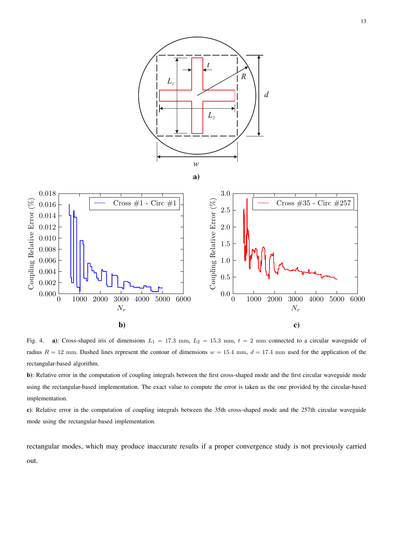

Fig. 4. **a**): Cross-shaped iris of dimensions  $L_1 = 17.3$  mm,  $L_2 = 15.3$  mm,  $t = 2$  mm connected to a circular waveguide of radius  $R = 12$  mm. Dashed lines represent the contour of dimensions  $w = 15.4$  mm,  $d = 17.4$  mm used for the application of the rectangular-based algorithm.

**b)**: Relative error in the computation of coupling integrals between the first cross-shaped mode and the first circular waveguide mode using the rectangular-based implementation. The exact value to compute the error is taken as the one provided by the circular-based implementation.

**c)**: Relative error in the computation of coupling integrals between the 35th cross-shaped mode and the 257th circular waveguide mode using the rectangular-based implementation.

rectangular modes, which may produce inaccurate results if a proper convergence study is not previously carried out.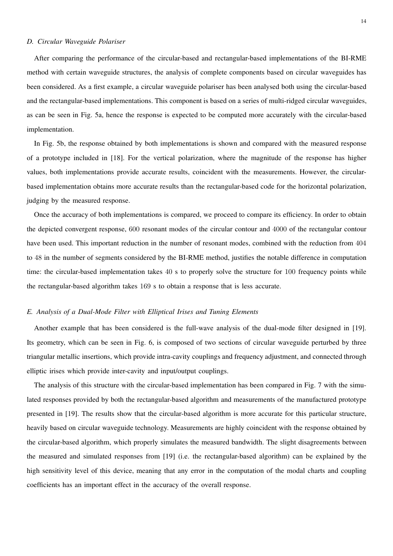#### *D. Circular Waveguide Polariser*

After comparing the performance of the circular-based and rectangular-based implementations of the BI-RME method with certain waveguide structures, the analysis of complete components based on circular waveguides has been considered. As a first example, a circular waveguide polariser has been analysed both using the circular-based and the rectangular-based implementations. This component is based on a series of multi-ridged circular waveguides, as can be seen in Fig. 5a, hence the response is expected to be computed more accurately with the circular-based implementation.

In Fig. 5b, the response obtained by both implementations is shown and compared with the measured response of a prototype included in [18]. For the vertical polarization, where the magnitude of the response has higher values, both implementations provide accurate results, coincident with the measurements. However, the circularbased implementation obtains more accurate results than the rectangular-based code for the horizontal polarization, judging by the measured response.

Once the accuracy of both implementations is compared, we proceed to compare its efficiency. In order to obtain the depicted convergent response, 600 resonant modes of the circular contour and 4000 of the rectangular contour have been used. This important reduction in the number of resonant modes, combined with the reduction from 404 to 48 in the number of segments considered by the BI-RME method, justifies the notable difference in computation time: the circular-based implementation takes 40 s to properly solve the structure for 100 frequency points while the rectangular-based algorithm takes 169 s to obtain a response that is less accurate.

### *E. Analysis of a Dual-Mode Filter with Elliptical Irises and Tuning Elements*

Another example that has been considered is the full-wave analysis of the dual-mode filter designed in [19]. Its geometry, which can be seen in Fig. 6, is composed of two sections of circular waveguide perturbed by three triangular metallic insertions, which provide intra-cavity couplings and frequency adjustment, and connected through elliptic irises which provide inter-cavity and input/output couplings.

The analysis of this structure with the circular-based implementation has been compared in Fig. 7 with the simulated responses provided by both the rectangular-based algorithm and measurements of the manufactured prototype presented in [19]. The results show that the circular-based algorithm is more accurate for this particular structure, heavily based on circular waveguide technology. Measurements are highly coincident with the response obtained by the circular-based algorithm, which properly simulates the measured bandwidth. The slight disagreements between the measured and simulated responses from [19] (i.e. the rectangular-based algorithm) can be explained by the high sensitivity level of this device, meaning that any error in the computation of the modal charts and coupling coefficients has an important effect in the accuracy of the overall response.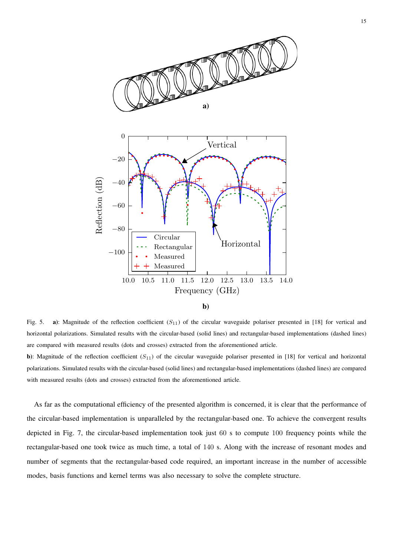

**b)**

Fig. 5. **a**): Magnitude of the reflection coefficient  $(S_{11})$  of the circular waveguide polariser presented in [18] for vertical and horizontal polarizations. Simulated results with the circular-based (solid lines) and rectangular-based implementations (dashed lines) are compared with measured results (dots and crosses) extracted from the aforementioned article.

**b**): Magnitude of the reflection coefficient  $(S_{11})$  of the circular waveguide polariser presented in [18] for vertical and horizontal polarizations. Simulated results with the circular-based (solid lines) and rectangular-based implementations (dashed lines) are compared with measured results (dots and crosses) extracted from the aforementioned article.

As far as the computational efficiency of the presented algorithm is concerned, it is clear that the performance of the circular-based implementation is unparalleled by the rectangular-based one. To achieve the convergent results depicted in Fig. 7, the circular-based implementation took just 60 s to compute 100 frequency points while the rectangular-based one took twice as much time, a total of 140 s. Along with the increase of resonant modes and number of segments that the rectangular-based code required, an important increase in the number of accessible modes, basis functions and kernel terms was also necessary to solve the complete structure.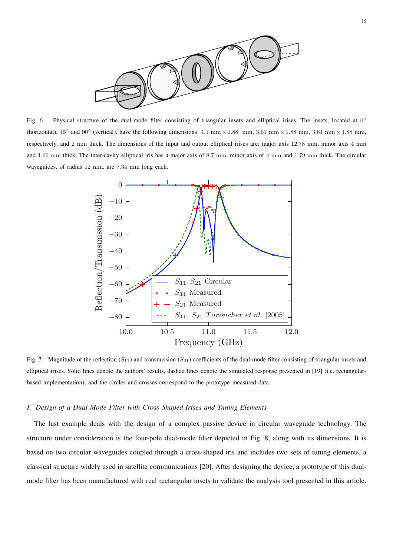

Fig. 6. Physical structure of the dual-mode filter consisting of triangular insets and elliptical irises. The insets, located at 0° (horizontal),  $45^\circ$  and  $90^\circ$  (vertical), have the following dimensions:  $4.1 \text{ mm} \times 1.88 \text{ mm}$ ,  $3.61 \text{ mm} \times 1.88 \text{ mm}$ ,  $3.61 \text{ mm} \times 1.88 \text{ mm}$ , respectively, and 2 mm thick. The dimensions of the input and output elliptical irises are: major axis 12.78 mm, minor axis 4 mm and 1.66 mm thick. The inter-cavity elliptical iris has a major axis of 8.7 mm, minor axis of 4 mm and 1.79 mm thick. The circular waveguides, of radius 12 mm, are 7.34 mm long each.



Fig. 7. Magnitude of the reflection  $(S_{11})$  and transmission  $(S_{21})$  coefficients of the dual-mode filter consisting of triangular insets and elliptical irises. Solid lines denote the authors' results, dashed lines denote the simulated response presented in [19] (i.e. rectangularbased implementation), and the circles and crosses correspond to the prototype measured data.

### *F. Design of a Dual-Mode Filter with Cross-Shaped Irises and Tuning Elements*

The last example deals with the design of a complex passive device in circular waveguide technology. The structure under consideration is the four-pole dual-mode filter depicted in Fig. 8, along with its dimensions. It is based on two circular waveguides coupled through a cross-shaped iris and includes two sets of tuning elements, a classical structure widely used in satellite communications [20]. After designing the device, a prototype of this dualmode filter has been manufactured with real rectangular insets to validate the analysis tool presented in this article.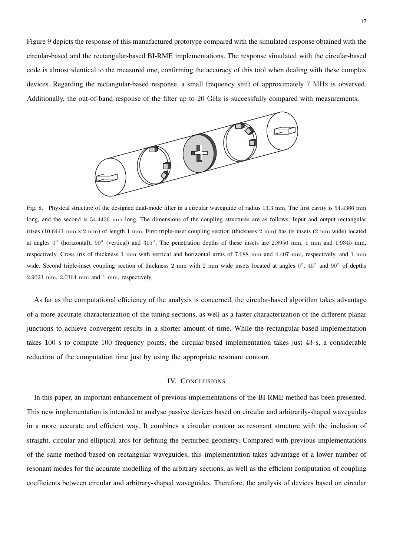Figure 9 depicts the response of this manufactured prototype compared with the simulated response obtained with the circular-based and the rectangular-based BI-RME implementations. The response simulated with the circular-based code is almost identical to the measured one, confirming the accuracy of this tool when dealing with these complex devices. Regarding the rectangular-based response, a small frequency shift of approximately 7 MHz is observed. Additionally, the out-of-band response of the filter up to 20 GHz is successfully compared with measurements.



Fig. 8. Physical structure of the designed dual-mode filter in a circular waveguide of radius 13.3 mm. The first cavity is 54.4366 mm long, and the second is 54.4436 mm long. The dimensions of the coupling structures are as follows: Input and output rectangular irises (10.6441 mm  $\times$  2 mm) of length 1 mm. First triple-inset coupling section (thickness 2 mm) has its insets (2 mm wide) located at angles  $0°$  (horizontal),  $90°$  (vertical) and  $315°$ . The penetration depths of these insets are 2.8956 mm, 1 mm and 1.9345 mm, respectively. Cross iris of thickness 1 mm with vertical and horizontal arms of 7.688 mm and 4.407 mm, respectively, and 1 mm wide. Second triple-inset coupling section of thickness 2 mm with 2 mm wide insets located at angles 0°, 45° and 90° of depths 2.9023 mm, 2.0364 mm and 1 mm, respectively.

As far as the computational efficiency of the analysis is concerned, the circular-based algorithm takes advantage of a more accurate characterization of the tuning sections, as well as a faster characterization of the different planar junctions to achieve convergent results in a shorter amount of time. While the rectangular-based implementation takes 100 s to compute 100 frequency points, the circular-based implementation takes just 43 s, a considerable reduction of the computation time just by using the appropriate resonant contour.

# IV. CONCLUSIONS

In this paper, an important enhancement of previous implementations of the BI-RME method has been presented. This new implementation is intended to analyse passive devices based on circular and arbitrarily-shaped waveguides in a more accurate and efficient way. It combines a circular contour as resonant structure with the inclusion of straight, circular and elliptical arcs for defining the perturbed geometry. Compared with previous implementations of the same method based on rectangular waveguides, this implementation takes advantage of a lower number of resonant modes for the accurate modelling of the arbitrary sections, as well as the efficient computation of coupling coefficients between circular and arbitrary-shaped waveguides. Therefore, the analysis of devices based on circular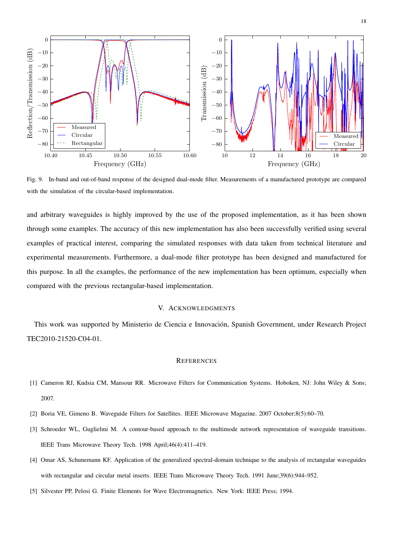

Fig. 9. In-band and out-of-band response of the designed dual-mode filter. Measurements of a manufactured prototype are compared with the simulation of the circular-based implementation.

and arbitrary waveguides is highly improved by the use of the proposed implementation, as it has been shown through some examples. The accuracy of this new implementation has also been successfully verified using several examples of practical interest, comparing the simulated responses with data taken from technical literature and experimental measurements. Furthermore, a dual-mode filter prototype has been designed and manufactured for this purpose. In all the examples, the performance of the new implementation has been optimum, especially when compared with the previous rectangular-based implementation.

# V. ACKNOWLEDGMENTS

This work was supported by Ministerio de Ciencia e Innovación, Spanish Government, under Research Project TEC2010-21520-C04-01.

#### **REFERENCES**

- [1] Cameron RJ, Kudsia CM, Mansour RR. Microwave Filters for Communication Systems. Hoboken, NJ: John Wiley & Sons; 2007.
- [2] Boria VE, Gimeno B. Waveguide Filters for Satellites. IEEE Microwave Magazine. 2007 October;8(5):60–70.
- [3] Schroeder WL, Guglielmi M. A contour-based approach to the multimode network representation of waveguide transitions. IEEE Trans Microwave Theory Tech. 1998 April;46(4):411–419.
- [4] Omar AS, Schunemann KF. Application of the generalized spectral-domain technique to the analysis of rectangular waveguides with rectangular and circular metal inserts. IEEE Trans Microwave Theory Tech. 1991 June;39(6):944–952.
- [5] Silvester PP, Pelosi G. Finite Elements for Wave Electromagnetics. New York: IEEE Press; 1994.